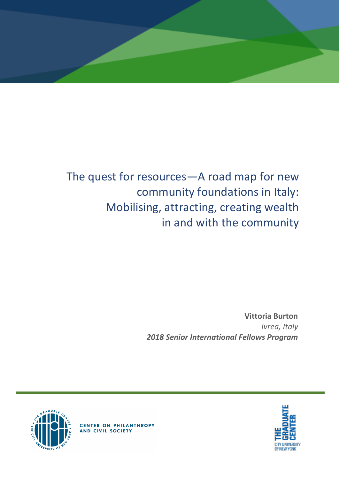

# The quest for resources—A road map for new community foundations in Italy: Mobilising, attracting, creating wealth in and with the community

**Vittoria Burton** *Ivrea, Italy 2018 Senior International Fellows Program*





**CENTER ON PHILANTHROPY**<br>AND CIVIL SOCIETY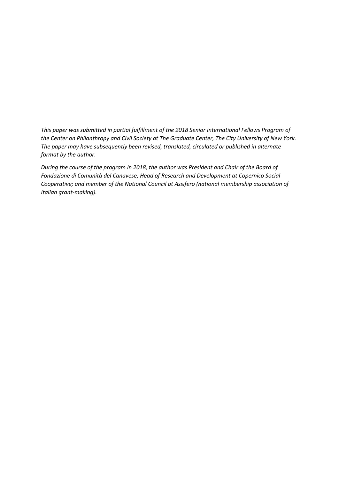*This paper was submitted in partial fulfillment of the 2018 Senior International Fellows Program of the Center on Philanthropy and Civil Society at The Graduate Center, The City University of New York. The paper may have subsequently been revised, translated, circulated or published in alternate format by the author.*

*During the course of the program in 2018, the author was President and Chair of the Board of Fondazione di Comunità del Canavese; Head of Research and Development at Copernico Social Cooperative; and member of the National Council at Assifero (national membership association of Italian grant-making).*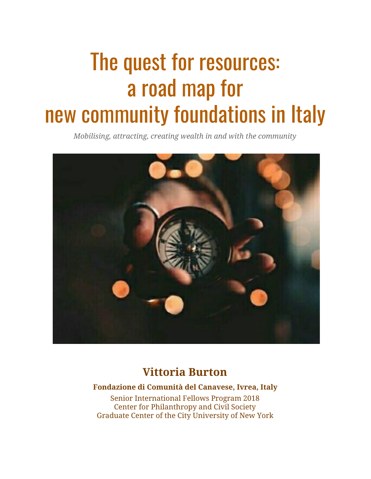# The quest for resources: a road map for new community foundations in Italy

*Mobilising, attracting, creating wealth in and with the community*



# **Vittoria Burton**

# **Fondazione di Comunità del Canavese, Ivrea, Italy**

Senior International Fellows Program 2018 Center for Philanthropy and Civil Society Graduate Center of the City University of New York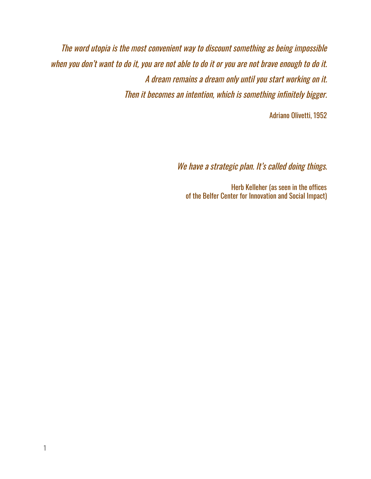The word utopia is the most convenient way to discount something as being impossible when you don't want to do it, you are not able to do it or you are not brave enough to do it. A dream remains <sup>a</sup> dream only until you start working on it. Then it becomes an intention, which is something infinitely bigger.

Adriano Olivetti, 1952

We have a strategic plan. It's called doing things.

Herb Kelleher (as seen in the offices of the Belfer Center for Innovation and Social Impact)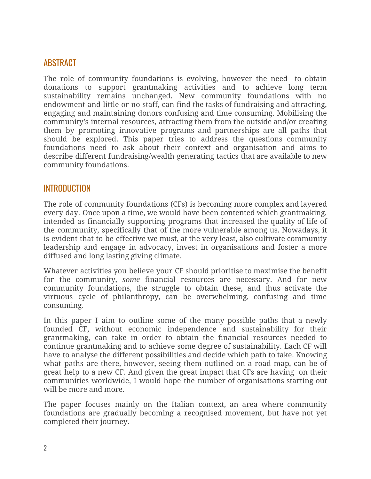# ABSTRACT

The role of community foundations is evolving, however the need to obtain donations to support grantmaking activities and to achieve long term sustainability remains unchanged. New community foundations with no endowment and little or no staff, can find the tasks of fundraising and attracting, engaging and maintaining donors confusing and time consuming. Mobilising the community's internal resources, attracting them from the outside and/or creating them by promoting innovative programs and partnerships are all paths that should be explored. This paper tries to address the questions community foundations need to ask about their context and organisation and aims to describe different fundraising/wealth generating tactics that are available to new community foundations.

# INTRODUCTION

The role of community foundations (CFs) is becoming more complex and layered every day. Once upon a time, we would have been contented which grantmaking, intended as financially supporting programs that increased the quality of life of the community, specifically that of the more vulnerable among us. Nowadays, it is evident that to be effective we must, at the very least, also cultivate community leadership and engage in advocacy, invest in organisations and foster a more diffused and long lasting giving climate.

Whatever activities you believe your CF should prioritise to maximise the benefit for the community, *some* financial resources are necessary. And for new community foundations, the struggle to obtain these, and thus activate the virtuous cycle of philanthropy, can be overwhelming, confusing and time consuming.

In this paper I aim to outline some of the many possible paths that a newly founded CF, without economic independence and sustainability for their grantmaking, can take in order to obtain the financial resources needed to continue grantmaking and to achieve some degree of sustainability. Each CF will have to analyse the different possibilities and decide which path to take. Knowing what paths are there, however, seeing them outlined on a road map, can be of great help to a new CF. And given the great impact that CFs are having on their communities worldwide, I would hope the number of organisations starting out will be more and more.

The paper focuses mainly on the Italian context, an area where community foundations are gradually becoming a recognised movement, but have not yet completed their journey.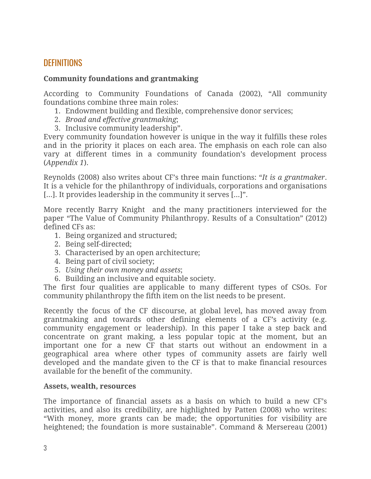# **DEFINITIONS**

#### **Community foundations and grantmaking**

According to Community Foundations of Canada (2002), "All community foundations combine three main roles:

- 1. Endowment building and flexible, comprehensive donor services;
- 2. *Broad and effective grantmaking*;
- 3. Inclusive community leadership".

Every community foundation however is unique in the way it fulfills these roles and in the priority it places on each area. The emphasis on each role can also vary at different times in a community foundation's development process (*Appendix 1*).

Reynolds (2008) also writes about CF's three main functions: "*It is a grantmaker*. It is a vehicle for the philanthropy of individuals, corporations and organisations [...]. It provides leadership in the community it serves [...]".

More recently Barry Knight and the many practitioners interviewed for the paper "The Value of Community [Philanthropy.](https://cpcs.commons.gc.cuny.edu/files/2017/06/Knight-The-Value-of-Community-Philanthropy-2012.pdf) Results of a Consultation" (2012) defined CFs as:

- 1. Being organized and structured;
- 2. Being self-directed;
- 3. Characterised by an open architecture;
- 4. Being part of civil society;
- 5. *Using their own money and assets*;
- 6. Building an inclusive and equitable society.

The first four qualities are applicable to many different types of CSOs. For community philanthropy the fifth item on the list needs to be present.

Recently the focus of the CF discourse, at global level, has moved away from grantmaking and towards other defining elements of a CF's activity (e.g. community engagement or leadership). In this paper I take a step back and concentrate on grant making, a less popular topic at the moment, but an important one for a new CF that starts out without an endowment in a geographical area where other types of community assets are fairly well developed and the mandate given to the CF is that to make financial resources available for the benefit of the community.

#### **Assets, wealth, resources**

The importance of financial assets as a basis on which to build a new CF's activities, and also its credibility, are highlighted by Patten (2008) who writes: "With money, more grants can be made; the opportunities for visibility are heightened; the foundation is more sustainable". Command & Mersereau (2001)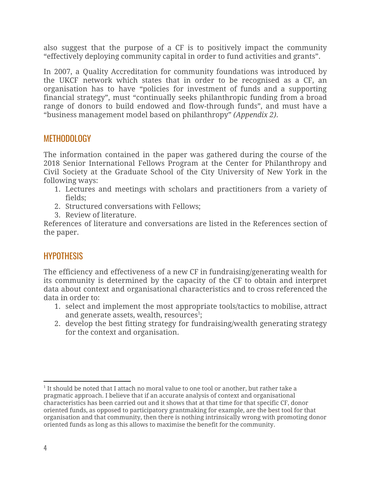also suggest that the purpose of a CF is to positively impact the community "effectively deploying community capital in order to fund activities and grants".

In 2007, a Quality Accreditation for community foundations was introduced by the UKCF network which states that in order to be recognised as a CF, an organisation has to have "policies for investment of funds and a supporting financial strategy", must "continually seeks philanthropic funding from a broad range of donors to build endowed and flow-through funds", and must have a "business management model based on philanthropy" *(Appendix 2)*.

# METHODOLOGY

The information contained in the paper was gathered during the course of the 2018 Senior International Fellows Program at the Center for Philanthropy and Civil Society at the Graduate School of the City University of New York in the following ways:

- 1. Lectures and meetings with scholars and practitioners from a variety of fields;
- 2. Structured conversations with Fellows;
- 3. Review of literature.

References of literature and conversations are listed in the References section of the paper.

# **HYPOTHESIS**

The efficiency and effectiveness of a new CF in fundraising/generating wealth for its community is determined by the capacity of the CF to obtain and interpret data about context and organisational characteristics and to cross referenced the data in order to:

- 1. select and implement the most appropriate tools/tactics to mobilise, attract and generate assets, wealth, resources<sup>1</sup>;
- 2. develop the best fitting strategy for fundraising/wealth generating strategy for the context and organisation.

<sup>1</sup> It should be noted that I attach no moral value to one tool or another, but rather take a pragmatic approach. I believe that if an accurate analysis of context and organisational characteristics has been carried out and it shows that at that time for that specific CF, donor oriented funds, as opposed to participatory grantmaking for example, are the best tool for that organisation and that community, then there is nothing intrinsically wrong with promoting donor oriented funds as long as this allows to maximise the benefit for the community.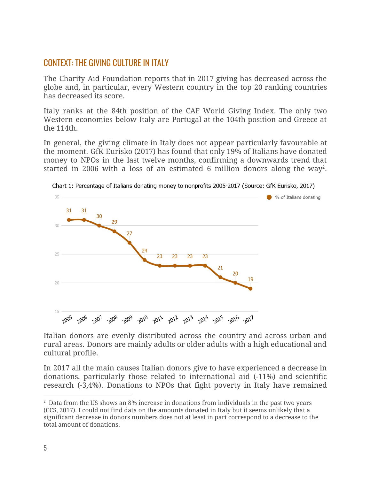# CONTEXT: THE GIVING CULTURE IN ITALY

The Charity Aid Foundation reports that in 2017 giving has decreased across the globe and, in particular, every Western country in the top 20 ranking countries has decreased its score.

Italy ranks at the 84th position of the CAF World Giving Index. The only two Western economies below Italy are Portugal at the 104th position and Greece at the 114th.

In general, the giving climate in Italy does not appear particularly favourable at the moment. GfK Eurisko (2017) has found that only 19% of Italians have donated money to NPOs in the last twelve months, confirming a downwards trend that started in 2006 with a loss of an estimated 6 million donors along the way<sup>2</sup>.



Chart 1: Percentage of Italians donating money to nonprofits 2005-2017 (Source: GfK Eurisko, 2017)

Italian donors are evenly distributed across the country and across urban and rural areas. Donors are mainly adults or older adults with a high educational and cultural profile.

In 2017 all the main causes Italian donors give to have experienced a decrease in donations, particularly those related to international aid (-11%) and scientific research (-3,4%). Donations to NPOs that fight poverty in Italy have remained

 $2\text{ Data from the US shows an 8\% increase in donations from individuals in the past two years}$ (CCS, 2017). I could not find data on the amounts donated in Italy but it seems unlikely that a significant decrease in donors numbers does not at least in part correspond to a decrease to the total amount of donations.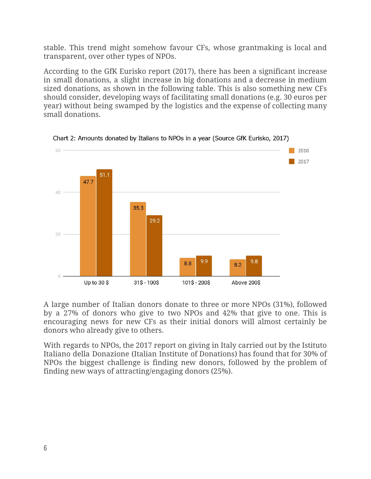stable. This trend might somehow favour CFs, whose grantmaking is local and transparent, over other types of NPOs.

According to the GfK Eurisko report (2017), there has been a significant increase in small donations, a slight increase in big donations and a decrease in medium sized donations, as shown in the following table. This is also something new CFs should consider, developing ways of facilitating small donations (e.g. 30 euros per year) without being swamped by the logistics and the expense of collecting many small donations.



Chart 2: Amounts donated by Italians to NPOs in a year (Source GfK Eurisko, 2017)

A large number of Italian donors donate to three or more NPOs (31%), followed by a 27% of donors who give to two NPOs and 42% that give to one. This is encouraging news for new CFs as their initial donors will almost certainly be donors who already give to others.

With regards to NPOs, the 2017 report on giving in Italy carried out by the Istituto Italiano della Donazione (Italian Institute of Donations) has found that for 30% of NPOs the biggest challenge is finding new donors, followed by the problem of finding new ways of attracting/engaging donors (25%).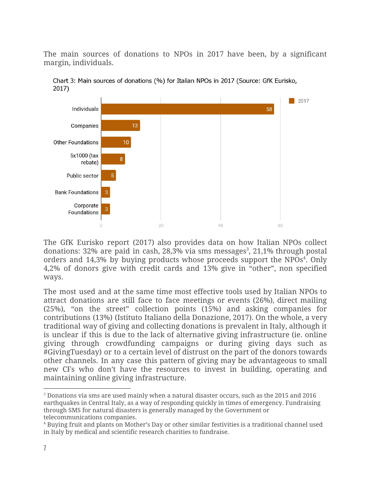The main sources of donations to NPOs in 2017 have been, by a significant margin, individuals.



Chart 3: Main sources of donations (%) for Italian NPOs in 2017 (Source: GfK Eurisko,  $2017)$ 

The GfK Eurisko report (2017) also provides data on how Italian NPOs collect donations:  $32\%$  are paid in cash,  $28,3\%$  via sms messages<sup>3</sup>,  $21,1\%$  through postal orders and  $14,3\%$  by buying products whose proceeds support the NPOs<sup>4</sup>. Only 4,2% of donors give with credit cards and 13% give in "other", non specified ways.

The most used and at the same time most effective tools used by Italian NPOs to attract donations are still face to face meetings or events (26%), direct mailing (25%), "on the street" collection points (15%) and asking companies for contributions (13%) (Istituto Italiano della Donazione, 2017). On the whole, a very traditional way of giving and collecting donations is prevalent in Italy, although it is unclear if this is due to the lack of alternative giving infrastructure (ie. online giving through crowdfunding campaigns or during giving days such as #GivingTuesday) or to a certain level of distrust on the part of the donors towards other channels. In any case this pattern of giving may be advantageous to small new CFs who don't have the resources to invest in building, operating and maintaining online giving infrastructure.

<sup>3</sup> Donations via sms are used mainly when a natural disaster occurs, such as the 2015 and 2016 earthquakes in Central Italy, as a way of responding quickly in times of emergency. Fundraising through SMS for natural disasters is generally managed by the Government or telecommunications companies.

<sup>4</sup> Buying fruit and plants on Mother's Day or other similar festivities is a traditional channel used in Italy by medical and scientific research charities to fundraise.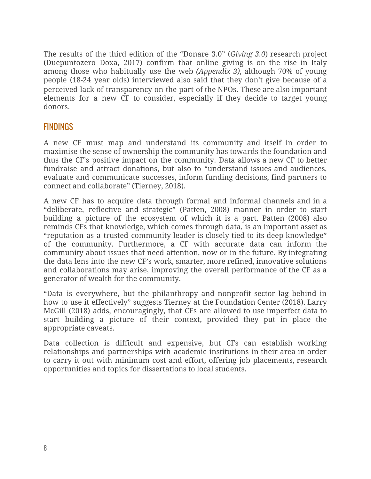The results of the third edition of the "Donare 3.0" (*Giving 3.0*) research project (Duepuntozero Doxa, 2017) confirm that online giving is on the rise in Italy among those who habitually use the web *(Appendix 3)*, although 70% of young people (18-24 year olds) interviewed also said that they don't give because of a perceived lack of transparency on the part of the NPOs**.** These are also important elements for a new CF to consider, especially if they decide to target young donors.

# FINDINGS

A new CF must map and understand its community and itself in order to maximise the sense of ownership the community has towards the foundation and thus the CF's positive impact on the community. Data allows a new CF to better fundraise and attract donations, but also to "understand issues and audiences, evaluate and communicate successes, inform funding decisions, find partners to connect and collaborate" (Tierney, 2018).

A new CF has to acquire data through formal and informal channels and in a "deliberate, reflective and strategic" (Patten, 2008) manner in order to start building a picture of the ecosystem of which it is a part. Patten (2008) also reminds CFs that knowledge, which comes through data, is an important asset as "reputation as a trusted community leader is closely tied to its deep knowledge" of the community. Furthermore, a CF with accurate data can inform the community about issues that need attention, now or in the future. By integrating the data lens into the new CF's work, smarter, more refined, innovative solutions and collaborations may arise, improving the overall performance of the CF as a generator of wealth for the community.

"Data is everywhere, but the philanthropy and nonprofit sector lag behind in how to use it effectively" suggests Tierney at the Foundation Center (2018). Larry McGill (2018) adds, encouragingly, that CFs are allowed to use imperfect data to start building a picture of their context, provided they put in place the appropriate caveats.

Data collection is difficult and expensive, but CFs can establish working relationships and partnerships with academic institutions in their area in order to carry it out with minimum cost and effort, offering job placements, research opportunities and topics for dissertations to local students.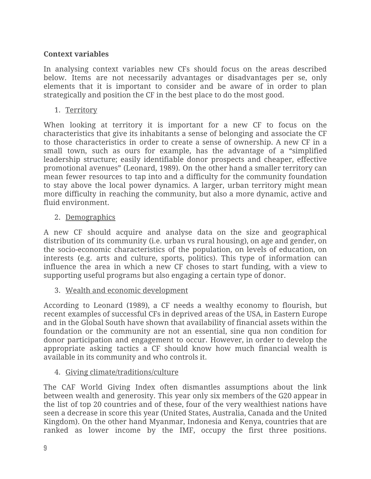# **Context variables**

In analysing context variables new CFs should focus on the areas described below. Items are not necessarily advantages or disadvantages per se, only elements that it is important to consider and be aware of in order to plan strategically and position the CF in the best place to do the most good.

1. Territory

When looking at territory it is important for a new CF to focus on the characteristics that give its inhabitants a sense of belonging and associate the CF to those characteristics in order to create a sense of ownership. A new CF in a small town, such as ours for example, has the advantage of a "simplified leadership structure; easily identifiable donor prospects and cheaper, effective promotional avenues" (Leonard, 1989). On the other hand a smaller territory can mean fewer resources to tap into and a difficulty for the community foundation to stay above the local power dynamics. A larger, urban territory might mean more difficulty in reaching the community, but also a more dynamic, active and fluid environment.

## 2. Demographics

A new CF should acquire and analyse data on the size and geographical distribution of its community (i.e. urban vs rural housing), on age and gender, on the socio-economic characteristics of the population, on levels of education, on interests (e.g. arts and culture, sports, politics). This type of information can influence the area in which a new CF choses to start funding, with a view to supporting useful programs but also engaging a certain type of donor.

3. Wealth and economic development

According to Leonard (1989), a CF needs a wealthy economy to flourish, but recent examples of successful CFs in deprived areas of the USA, in Eastern Europe and in the Global South have shown that availability of financial assets within the foundation or the community are not an essential, sine qua non condition for donor participation and engagement to occur. However, in order to develop the appropriate asking tactics a CF should know how much financial wealth is available in its community and who controls it.

## 4. Giving climate/traditions/culture

The CAF World Giving Index often dismantles assumptions about the link between wealth and generosity. This year only six members of the G20 appear in the list of top 20 countries and of these, four of the very wealthiest nations have seen a decrease in score this year (United States, Australia, Canada and the United Kingdom). On the other hand Myanmar, Indonesia and Kenya, countries that are ranked as lower income by the IMF, occupy the first three positions.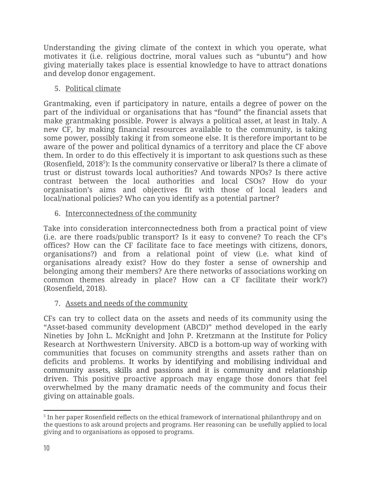Understanding the giving climate of the context in which you operate, what motivates it (i.e. religious doctrine, moral values such as "ubuntu") and how giving materially takes place is essential knowledge to have to attract donations and develop donor engagement.

# 5. Political climate

Grantmaking, even if participatory in nature, entails a degree of power on the part of the individual or organisations that has "found" the financial assets that make grantmaking possible. Power is always a political asset, at least in Italy. A new CF, by making financial resources available to the community, is taking some power, possibly taking it from someone else. It is therefore important to be aware of the power and political dynamics of a territory and place the CF above them. In order to do this effectively it is important to ask questions such as these (Rosenfield,  $2018<sup>5</sup>$ ): Is the community conservative or liberal? Is there a climate of trust or distrust towards local authorities? And towards NPOs? Is there active contrast between the local authorities and local CSOs? How do your organisation's aims and objectives fit with those of local leaders and local/national policies? Who can you identify as a potential partner?

## 6. Interconnectedness of the community

Take into consideration interconnectedness both from a practical point of view (i.e. are there roads/public transport? Is it easy to convene? To reach the CF's offices? How can the CF facilitate face to face meetings with citizens, donors, organisations?) and from a relational point of view (i.e. what kind of organisations already exist? How do they foster a sense of ownership and belonging among their members? Are there networks of associations working on common themes already in place? How can a CF facilitate their work?) (Rosenfield, 2018).

# 7. Assets and needs of the community

CFs can try to collect data on the assets and needs of its community using the "Asset-based community development (ABCD)" method developed in the early Nineties by John L. McKnight and John P. Kretzmann at the Institute for Policy Research at Northwestern University. ABCD is a bottom-up way of working with communities that focuses on community strengths and assets rather than on deficits and problems. It works by identifying and mobilising individual and community assets, skills and passions and it is community and relationship driven. This positive proactive approach may engage those donors that feel overwhelmed by the many dramatic needs of the community and focus their giving on attainable goals.

 $^{\rm 5}$  In her paper Rosenfield reflects on the ethical framework of international philanthropy and on the questions to ask around projects and programs. Her reasoning can be usefully applied to local giving and to organisations as opposed to programs.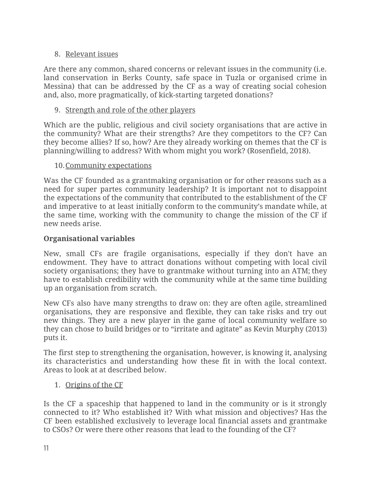# 8. Relevant issues

Are there any common, shared concerns or relevant issues in the community (i.e. land conservation in Berks County, safe space in Tuzla or organised crime in Messina) that can be addressed by the CF as a way of creating social cohesion and, also, more pragmatically, of kick-starting targeted donations?

# 9. Strength and role of the other players

Which are the public, religious and civil society organisations that are active in the community? What are their strengths? Are they competitors to the CF? Can they become allies? If so, how? Are they already working on themes that the CF is planning/willing to address? With whom might you work? (Rosenfield, 2018).

## 10.Community expectations

Was the CF founded as a grantmaking organisation or for other reasons such as a need for super partes community leadership? It is important not to disappoint the expectations of the community that contributed to the establishment of the CF and imperative to at least initially conform to the community's mandate while, at the same time, working with the community to change the mission of the CF if new needs arise.

# **Organisational variables**

New, small CFs are fragile organisations, especially if they don't have an endowment. They have to attract donations without competing with local civil society organisations; they have to grantmake without turning into an ATM; they have to establish credibility with the community while at the same time building up an organisation from scratch.

New CFs also have many strengths to draw on: they are often agile, streamlined organisations, they are responsive and flexible, they can take risks and try out new things. They are a new player in the game of local community welfare so they can chose to build bridges or to "irritate and agitate" as Kevin Murphy (2013) puts it.

The first step to strengthening the organisation, however, is knowing it, analysing its characteristics and understanding how these fit in with the local context. Areas to look at at described below.

## 1. Origins of the CF

Is the CF a spaceship that happened to land in the community or is it strongly connected to it? Who established it? With what mission and objectives? Has the CF been established exclusively to leverage local financial assets and grantmake to CSOs? Or were there other reasons that lead to the founding of the CF?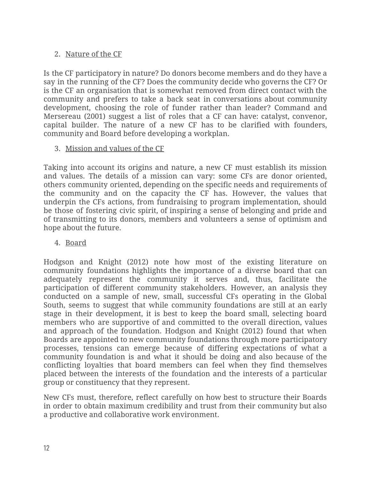# 2. Nature of the CF

Is the CF participatory in nature? Do donors become members and do they have a say in the running of the CF? Does the community decide who governs the CF? Or is the CF an organisation that is somewhat removed from direct contact with the community and prefers to take a back seat in conversations about community development, choosing the role of funder rather than leader? Command and Mersereau (2001) suggest a list of roles that a CF can have: catalyst, convenor, capital builder. The nature of a new CF has to be clarified with founders, community and Board before developing a workplan.

# 3. Mission and values of the CF

Taking into account its origins and nature, a new CF must establish its mission and values. The details of a mission can vary: some CFs are donor oriented, others community oriented, depending on the specific needs and requirements of the community and on the capacity the CF has. However, the values that underpin the CFs actions, from fundraising to program implementation, should be those of fostering civic spirit, of inspiring a sense of belonging and pride and of transmitting to its donors, members and volunteers a sense of optimism and hope about the future.

# 4. Board

Hodgson and Knight (2012) note how most of the existing literature on community foundations highlights the importance of a diverse board that can adequately represent the community it serves and, thus, facilitate the participation of different community stakeholders. However, an analysis they conducted on a sample of new, small, successful CFs operating in the Global South, seems to suggest that while community foundations are still at an early stage in their development, it is best to keep the board small, selecting board members who are supportive of and committed to the overall direction, values and approach of the foundation. Hodgson and Knight (2012) found that when Boards are appointed to new community foundations through more participatory processes, tensions can emerge because of differing expectations of what a community foundation is and what it should be doing and also because of the conflicting loyalties that board members can feel when they find themselves placed between the interests of the foundation and the interests of a particular group or constituency that they represent.

New CFs must, therefore, reflect carefully on how best to structure their Boards in order to obtain maximum credibility and trust from their community but also a productive and collaborative work environment.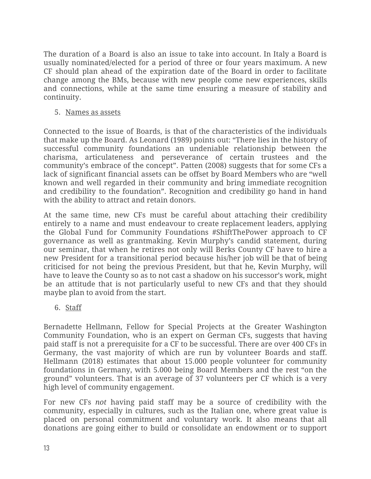The duration of a Board is also an issue to take into account. In Italy a Board is usually nominated/elected for a period of three or four years maximum. A new CF should plan ahead of the expiration date of the Board in order to facilitate change among the BMs, because with new people come new experiences, skills and connections, while at the same time ensuring a measure of stability and continuity.

5. Names as assets

Connected to the issue of Boards, is that of the characteristics of the individuals that make up the Board. As Leonard (1989) points out: "There lies in the history of successful community foundations an undeniable relationship between the charisma, articulateness and perseverance of certain trustees and the community's embrace of the concept". Patten (2008) suggests that for some CFs a lack of significant financial assets can be offset by Board Members who are "well known and well regarded in their community and bring immediate recognition and credibility to the foundation". Recognition and credibility go hand in hand with the ability to attract and retain donors.

At the same time, new CFs must be careful about attaching their credibility entirely to a name and must endeavour to create replacement leaders, applying the Global Fund for Community Foundations #ShiftThePower approach to CF governance as well as grantmaking. Kevin Murphy's candid statement, during our seminar, that when he retires not only will Berks County CF have to hire a new President for a transitional period because his/her job will be that of being criticised for not being the previous President, but that he, Kevin Murphy, will have to leave the County so as to not cast a shadow on his successor's work, might be an attitude that is not particularly useful to new CFs and that they should maybe plan to avoid from the start.

6. Staff

Bernadette Hellmann, Fellow for Special Projects at the Greater Washington Community Foundation, who is an expert on German CFs, suggests that having paid staff is not a prerequisite for a CF to be successful. There are over 400 CFs in Germany, the vast majority of which are run by volunteer Boards and staff. Hellmann (2018) estimates that about 15.000 people volunteer for community foundations in Germany, with 5.000 being Board Members and the rest "on the ground" volunteers. That is an average of 37 volunteers per CF which is a very high level of community engagement.

For new CFs *not* having paid staff may be a source of credibility with the community, especially in cultures, such as the Italian one, where great value is placed on personal commitment and voluntary work. It also means that all donations are going either to build or consolidate an endowment or to support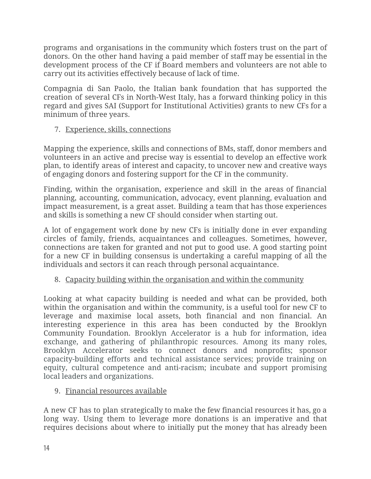programs and organisations in the community which fosters trust on the part of donors. On the other hand having a paid member of staff may be essential in the development process of the CF if Board members and volunteers are not able to carry out its activities effectively because of lack of time.

Compagnia di San Paolo, the Italian bank foundation that has supported the creation of several CFs in North-West Italy, has a forward thinking policy in this regard and gives SAI (Support for Institutional Activities) grants to new CFs for a minimum of three years.

# 7. Experience, skills, connections

Mapping the experience, skills and connections of BMs, staff, donor members and volunteers in an active and precise way is essential to develop an effective work plan, to identify areas of interest and capacity, to uncover new and creative ways of engaging donors and fostering support for the CF in the community.

Finding, within the organisation, experience and skill in the areas of financial planning, accounting, communication, advocacy, event planning, evaluation and impact measurement, is a great asset. Building a team that has those experiences and skills is something a new CF should consider when starting out.

A lot of engagement work done by new CFs is initially done in ever expanding circles of family, friends, acquaintances and colleagues. Sometimes, however, connections are taken for granted and not put to good use. A good starting point for a new CF in building consensus is undertaking a careful mapping of all the individuals and sectors it can reach through personal acquaintance.

# 8. Capacity building within the organisation and within the community

Looking at what capacity building is needed and what can be provided, both within the organisation and within the community, is a useful tool for new CF to leverage and maximise local assets, both financial and non financial. An interesting experience in this area has been conducted by the Brooklyn Community Foundation. Brooklyn Accelerator is a hub for information, idea exchange, and gathering of philanthropic resources. Among its many roles, Brooklyn Accelerator seeks to connect donors and nonprofits; sponsor capacity-building efforts and technical assistance services; provide training on equity, cultural competence and anti-racism; incubate and support promising local leaders and organizations.

# 9. Financial resources available

A new CF has to plan strategically to make the few financial resources it has, go a long way. Using them to leverage more donations is an imperative and that requires decisions about where to initially put the money that has already been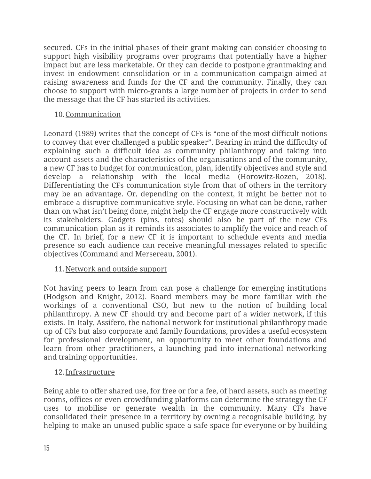secured. CFs in the initial phases of their grant making can consider choosing to support high visibility programs over programs that potentially have a higher impact but are less marketable. Or they can decide to postpone grantmaking and invest in endowment consolidation or in a communication campaign aimed at raising awareness and funds for the CF and the community. Finally, they can choose to support with micro-grants a large number of projects in order to send the message that the CF has started its activities.

## 10.Communication

Leonard (1989) writes that the concept of CFs is "one of the most difficult notions to convey that ever challenged a public speaker". Bearing in mind the difficulty of explaining such a difficult idea as community philanthropy and taking into account assets and the characteristics of the organisations and of the community, a new CF has to budget for communication, plan, identify objectives and style and develop a relationship with the local media (Horowitz-Rozen, 2018). Differentiating the CFs communication style from that of others in the territory may be an advantage. Or, depending on the context, it might be better not to embrace a disruptive communicative style. Focusing on what can be done, rather than on what isn't being done, might help the CF engage more constructively with its stakeholders. Gadgets (pins, totes) should also be part of the new CFs communication plan as it reminds its associates to amplify the voice and reach of the CF. In brief, for a new CF it is important to schedule events and media presence so each audience can receive meaningful messages related to specific objectives (Command and Mersereau, 2001).

## 11.Network and outside support

Not having peers to learn from can pose a challenge for emerging institutions (Hodgson and Knight, 2012). Board members may be more familiar with the workings of a conventional CSO, but new to the notion of building local philanthropy. A new CF should try and become part of a wider network, if this exists. In Italy, Assifero, the national network for institutional philanthropy made up of CFs but also corporate and family foundations, provides a useful ecosystem for professional development, an opportunity to meet other foundations and learn from other practitioners, a launching pad into international networking and training opportunities.

## 12.Infrastructure

Being able to offer shared use, for free or for a fee, of hard assets, such as meeting rooms, offices or even crowdfunding platforms can determine the strategy the CF uses to mobilise or generate wealth in the community. Many CFs have consolidated their presence in a territory by owning a recognisable building, by helping to make an unused public space a safe space for everyone or by building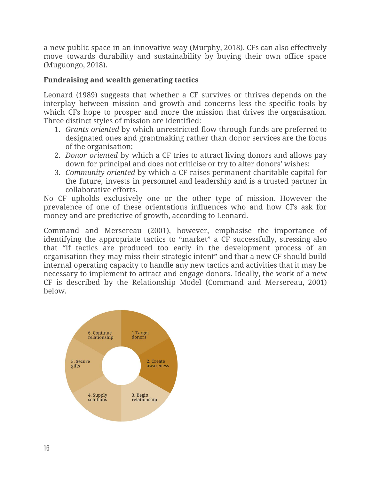a new public space in an innovative way (Murphy, 2018). CFs can also effectively move towards durability and sustainability by buying their own office space (Muguongo, 2018).

# **Fundraising and wealth generating tactics**

Leonard (1989) suggests that whether a CF survives or thrives depends on the interplay between mission and growth and concerns less the specific tools by which CFs hope to prosper and more the mission that drives the organisation. Three distinct styles of mission are identified:

- 1. *Grants oriented* by which unrestricted flow through funds are preferred to designated ones and grantmaking rather than donor services are the focus of the organisation;
- 2. *Donor oriented* by which a CF tries to attract living donors and allows pay down for principal and does not criticise or try to alter donors' wishes;
- 3. *Community oriented* by which a CF raises permanent charitable capital for the future, invests in personnel and leadership and is a trusted partner in collaborative efforts.

No CF upholds exclusively one or the other type of mission. However the prevalence of one of these orientations influences who and how CFs ask for money and are predictive of growth, according to Leonard.

Command and Mersereau (2001), however, emphasise the importance of identifying the appropriate tactics to "market" a CF successfully, stressing also that "if tactics are produced too early in the development process of an organisation they may miss their strategic intent" and that a new CF should build internal operating capacity to handle any new tactics and activities that it may be necessary to implement to attract and engage donors. Ideally, the work of a new CF is described by the Relationship Model (Command and Mersereau, 2001) below.

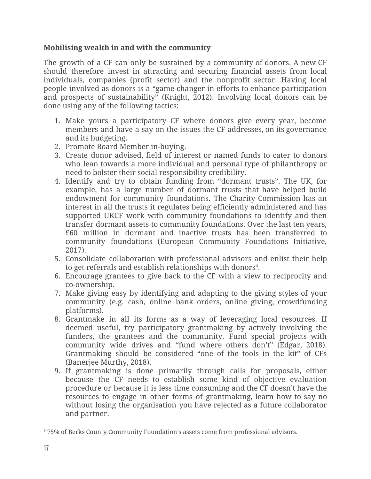# **Mobilising wealth in and with the community**

The growth of a CF can only be sustained by a community of donors. A new CF should therefore invest in attracting and securing financial assets from local individuals, companies (profit sector) and the nonprofit sector. Having local people involved as donors is a "game-changer in efforts to enhance participation and prospects of sustainability" (Knight, 2012). Involving local donors can be done using any of the following tactics:

- 1. Make yours a participatory CF where donors give every year, become members and have a say on the issues the CF addresses, on its governance and its budgeting.
- 2. Promote Board Member in-buying.
- 3. Create donor advised, field of interest or named funds to cater to donors who lean towards a more individual and personal type of philanthropy or need to bolster their social responsibility credibility.
- 4. Identify and try to obtain funding from "dormant trusts". The UK, for example, has a large number of dormant trusts that have helped build endowment for community foundations. The Charity Commission has an interest in all the trusts it regulates being efficiently administered and has supported UKCF work with community foundations to identify and then transfer dormant assets to community foundations. Over the last ten years, £60 million in dormant and inactive trusts has been transferred to community foundations (European Community Foundations Initiative, 2017).
- 5. Consolidate collaboration with professional advisors and enlist their help to get referrals and establish relationships with donors $6$ .
- 6. Encourage grantees to give back to the CF with a view to reciprocity and co-ownership.
- 7. Make giving easy by identifying and adapting to the giving styles of your community (e.g. cash, online bank orders, online giving, crowdfunding platforms).
- 8. Grantmake in all its forms as a way of leveraging local resources. If deemed useful, try participatory grantmaking by actively involving the funders, the grantees and the community. Fund special projects with community wide drives and "fund where others don't" (Edgar, 2018). Grantmaking should be considered "one of the tools in the kit" of CFs (Banerjee Murthy, 2018).
- 9. If grantmaking is done primarily through calls for proposals, either because the CF needs to establish some kind of objective evaluation procedure or because it is less time consuming and the CF doesn't have the resources to engage in other forms of grantmaking, learn how to say no without losing the organisation you have rejected as a future collaborator and partner.

<sup>6</sup> 75% of Berks County Community Foundation's assets come from professional advisors.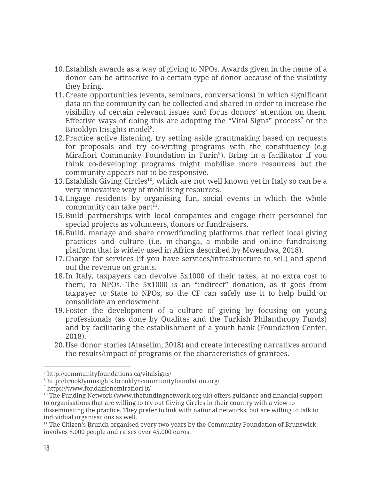- 10.Establish awards as a way of giving to NPOs. Awards given in the name of a donor can be attractive to a certain type of donor because of the visibility they bring.
- 11.Create opportunities (events, seminars, conversations) in which significant data on the community can be collected and shared in order to increase the visibility of certain relevant issues and focus donors' attention on them. Effective ways of doing this are adopting the "Vital Signs" process<sup>7</sup> or the Brooklyn Insights model<sup>8</sup>.
- 12.Practice active listening, try setting aside grantmaking based on requests for proposals and try co-writing programs with the constituency (e.g Mirafiori Community Foundation in Turin<sup>9</sup>). Bring in a facilitator if you think co-developing programs might mobilise more resources but the community appears not to be responsive.
- 13. Establish Giving Circles<sup>10</sup>, which are not well known yet in Italy so can be a very innovative way of mobilising resources.
- 14.Engage residents by organising fun, social events in which the whole community can take part $11$ .
- 15.Build partnerships with local companies and engage their personnel for special projects as volunteers, donors or fundraisers.
- 16.Build, manage and share crowdfunding platforms that reflect local giving practices and culture (i.e. m-changa, a mobile and online fundraising platform that is widely used in Africa described by Mwendwa, 2018).
- 17.Charge for services (if you have services/infrastructure to sell) and spend out the revenue on grants.
- 18.In Italy, taxpayers can devolve 5x1000 of their taxes, at no extra cost to them, to NPOs. The 5x1000 is an "indirect" donation, as it goes from taxpayer to State to NPOs, so the CF can safely use it to help build or consolidate an endowment.
- 19.Foster the development of a culture of giving by focusing on young professionals (as done by Qualitas and the Turkish Philanthropy Funds) and by facilitating the establishment of a youth bank (Foundation Center, 2018).
- 20.Use donor stories (Ataselim, 2018) and create interesting narratives around the results/impact of programs or the characteristics of grantees.

<sup>7</sup> http://communityfoundations.ca/vitalsigns/

<sup>8</sup> http://brooklyninsights.brooklyncommunityfoundation.org/

<sup>9</sup> https://www.fondazionemirafiori.it/

 $10$  The Funding Network ([www.thefundingnetwork.org.uk](http://www.thefundingnetwork.org.uk/)) offers guidance and financial support to organisations that are willing to try out Giving Circles in their country with a view to disseminating the practice. They prefer to link with national networks, but are willing to talk to individual organisations as well.

<sup>&</sup>lt;sup>11</sup> The Citizen's Brunch organised every two years by the Community Foundation of Brunswick involves 8.000 people and raises over 45.000 euros.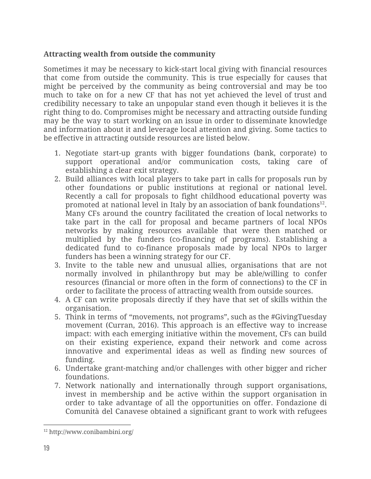#### **Attracting wealth from outside the community**

Sometimes it may be necessary to kick-start local giving with financial resources that come from outside the community. This is true especially for causes that might be perceived by the community as being controversial and may be too much to take on for a new CF that has not yet achieved the level of trust and credibility necessary to take an unpopular stand even though it believes it is the right thing to do. Compromises might be necessary and attracting outside funding may be the way to start working on an issue in order to disseminate knowledge and information about it and leverage local attention and giving. Some tactics to be effective in attracting outside resources are listed below.

- 1. Negotiate start-up grants with bigger foundations (bank, corporate) to support operational and/or communication costs, taking care of establishing a clear exit strategy.
- 2. Build alliances with local players to take part in calls for proposals run by other foundations or public institutions at regional or national level. Recently a call for proposals to fight childhood educational poverty was promoted at national level in Italy by an association of bank foundations $^{12}$ . Many CFs around the country facilitated the creation of local networks to take part in the call for proposal and became partners of local NPOs networks by making resources available that were then matched or multiplied by the funders (co-financing of programs). Establishing a dedicated fund to co-finance proposals made by local NPOs to larger funders has been a winning strategy for our CF.
- 3. Invite to the table new and unusual allies, organisations that are not normally involved in philanthropy but may be able/willing to confer resources (financial or more often in the form of connections) to the CF in order to facilitate the process of attracting wealth from outside sources.
- 4. A CF can write proposals directly if they have that set of skills within the organisation.
- 5. Think in terms of "movements, not programs", such as the #GivingTuesday movement (Curran, 2016). This approach is an effective way to increase impact: with each emerging initiative within the movement, CFs can build on their existing experience, expand their network and come across innovative and experimental ideas as well as finding new sources of funding.
- 6. Undertake grant-matching and/or challenges with other bigger and richer foundations.
- 7. Network nationally and internationally through support organisations, invest in membership and be active within the support organisation in order to take advantage of all the opportunities on offer. Fondazione di Comunità del Canavese obtained a significant grant to work with refugees

<sup>12</sup> http://www.conibambini.org/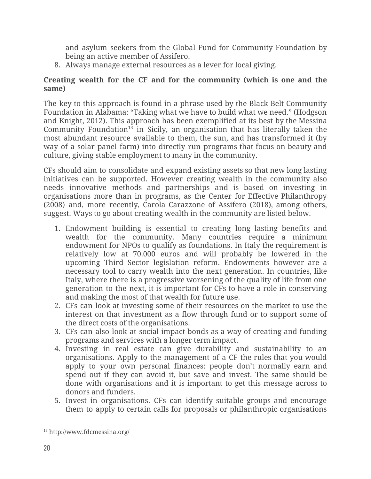and asylum seekers from the Global Fund for Community Foundation by being an active member of Assifero.

8. Always manage external resources as a lever for local giving.

#### **Creating wealth for the CF and for the community (which is one and the same)**

The key to this approach is found in a phrase used by the Black Belt Community Foundation in Alabama: "Taking what we have to build what we need." (Hodgson and Knight, 2012). This approach has been exemplified at its best by the Messina Community Foundation<sup>13</sup> in Sicily, an organisation that has literally taken the most abundant resource available to them, the sun, and has transformed it (by way of a solar panel farm) into directly run programs that focus on beauty and culture, giving stable employment to many in the community.

CFs should aim to consolidate and expand existing assets so that new long lasting initiatives can be supported. However creating wealth in the community also needs innovative methods and partnerships and is based on investing in organisations more than in programs, as the Center for Effective Philanthropy (2008) and, more recently, Carola Carazzone of Assifero (2018), among others, suggest. Ways to go about creating wealth in the community are listed below.

- 1. Endowment building is essential to creating long lasting benefits and wealth for the community. Many countries require a minimum endowment for NPOs to qualify as foundations. In Italy the requirement is relatively low at 70.000 euros and will probably be lowered in the upcoming Third Sector legislation reform. Endowments however are a necessary tool to carry wealth into the next generation. In countries, like Italy, where there is a progressive worsening of the quality of life from one generation to the next, it is important for CFs to have a role in conserving and making the most of that wealth for future use.
- 2. CFs can look at investing some of their resources on the market to use the interest on that investment as a flow through fund or to support some of the direct costs of the organisations.
- 3. CFs can also look at social impact bonds as a way of creating and funding programs and services with a longer term impact.
- 4. Investing in real estate can give durability and sustainability to an organisations. Apply to the management of a CF the rules that you would apply to your own personal finances: people don't normally earn and spend out if they can avoid it, but save and invest. The same should be done with organisations and it is important to get this message across to donors and funders.
- 5. Invest in organisations. CFs can identify suitable groups and encourage them to apply to certain calls for proposals or philanthropic organisations

<sup>13</sup> http://www.fdcmessina.org/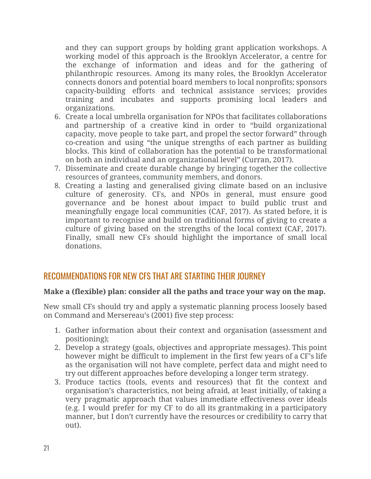and they can support groups by holding grant application workshops. A working model of this approach is the Brooklyn Accelerator, a centre for the exchange of information and ideas and for the gathering of philanthropic resources. Among its many roles, the Brooklyn Accelerator connects donors and potential board members to local nonprofits; sponsors capacity-building efforts and technical assistance services; provides training and incubates and supports promising local leaders and organizations.

- 6. Create a local umbrella organisation for NPOs that facilitates collaborations and partnership of a creative kind in order to "build organizational capacity, move people to take part, and propel the sector forward" through co-creation and using "the unique strengths of each partner as building blocks. This kind of collaboration has the potential to be transformational on both an individual and an organizational level" (Curran, 2017).
- 7. Disseminate and create durable change by bringing together the collective resources of grantees, community members, and donors.
- 8. Creating a lasting and generalised giving climate based on an inclusive culture of generosity. CFs, and NPOs in general, must ensure good governance and be honest about impact to build public trust and meaningfully engage local communities (CAF, 2017). As stated before, it is important to recognise and build on traditional forms of giving to create a culture of giving based on the strengths of the local context (CAF, 2017). Finally, small new CFs should highlight the importance of small local donations.

# RECOMMENDATIONS FOR NEW CFS THAT ARE STARTING THEIR JOURNEY

## **Make a (flexible) plan: consider all the paths and trace your way on the map.**

New small CFs should try and apply a systematic planning process loosely based on Command and Mersereau's (2001) five step process:

- 1. Gather information about their context and organisation (assessment and positioning);
- 2. Develop a strategy (goals, objectives and appropriate messages). This point however might be difficult to implement in the first few years of a CF's life as the organisation will not have complete, perfect data and might need to try out different approaches before developing a longer term strategy.
- 3. Produce tactics (tools, events and resources) that fit the context and organisation's characteristics, not being afraid, at least initially, of taking a very pragmatic approach that values immediate effectiveness over ideals (e.g. I would prefer for my CF to do all its grantmaking in a participatory manner, but I don't currently have the resources or credibility to carry that out).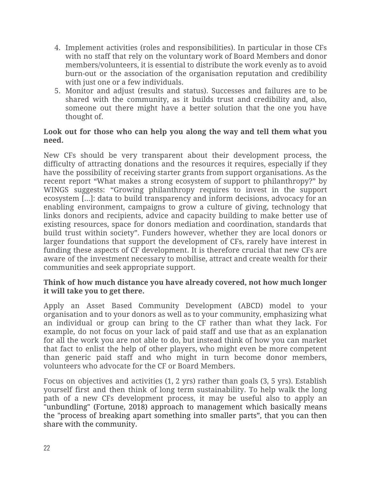- 4. Implement activities (roles and responsibilities). In particular in those CFs with no staff that rely on the voluntary work of Board Members and donor members/volunteers, it is essential to distribute the work evenly as to avoid burn-out or the association of the organisation reputation and credibility with just one or a few individuals.
- 5. Monitor and adjust (results and status). Successes and failures are to be shared with the community, as it builds trust and credibility and, also, someone out there might have a better solution that the one you have thought of.

#### **Look out for those who can help you along the way and tell them what you need.**

New CFs should be very transparent about their development process, the difficulty of attracting donations and the resources it requires, especially if they have the possibility of receiving starter grants from support organisations. As the recent report "What makes a strong ecosystem of support to philanthropy?" by WINGS suggests: "Growing philanthropy requires to invest in the support ecosystem [...]: data to build transparency and inform decisions, advocacy for an enabling environment, campaigns to grow a culture of giving, technology that links donors and recipients, advice and capacity building to make better use of existing resources, space for donors mediation and coordination, standards that build trust within society". Funders however, whether they are local donors or larger foundations that support the development of CFs, rarely have interest in funding these aspects of CF development. It is therefore crucial that new CFs are aware of the investment necessary to mobilise, attract and create wealth for their communities and seek appropriate support.

#### **Think of how much distance you have already covered, not how much longer it will take you to get there.**

Apply an Asset Based Community Development (ABCD) model to your organisation and to your donors as well as to your community, emphasizing what an individual or group can bring to the CF rather than what they lack. For example, do not focus on your lack of paid staff and use that as an explanation for all the work you are not able to do, but instead think of how you can market that fact to enlist the help of other players, who might even be more competent than generic paid staff and who might in turn become donor members, volunteers who advocate for the CF or Board Members.

Focus on objectives and activities (1, 2 yrs) rather than goals (3, 5 yrs). Establish yourself first and then think of long term sustainability. To help walk the long path of a new CFs development process, it may be useful also to apply an "unbundling" (Fortune, 2018) approach to management which basically means the "process of breaking apart something into smaller parts", that you can then share with the community.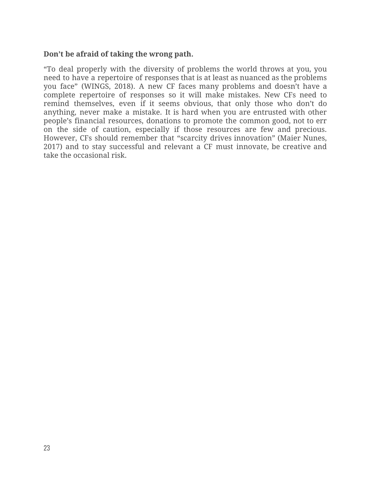#### **Don't be afraid of taking the wrong path.**

"To deal properly with the diversity of problems the world throws at you, you need to have a repertoire of responses that is at least as nuanced as the problems you face" (WINGS, 2018). A new CF faces many problems and doesn't have a complete repertoire of responses so it will make mistakes. New CFs need to remind themselves, even if it seems obvious, that only those who don't do anything, never make a mistake. It is hard when you are entrusted with other people's financial resources, donations to promote the common good, not to err on the side of caution, especially if those resources are few and precious. However, CFs should remember that "scarcity drives innovation" (Maier Nunes, 2017) and to stay successful and relevant a CF must innovate, be creative and take the occasional risk.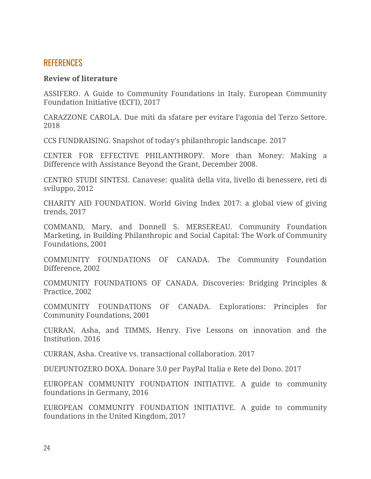# **REFERENCES**

#### **Review of literature**

ASSIFERO. A Guide to Community [Foundations](https://cpcs.commons.gc.cuny.edu/wp-content/blogs.dir/3079/files/2018/04/Assifero-Italien_Guide_RZ.pdf) in Italy. European Community Foundation Initiative (ECFI), 2017

CARAZZONE CAROLA. Due miti da sfatare per evitare l'agonia del Terzo Settore. 2018

CCS FUNDRAISING. Snapshot of today's philanthropic landscape. 2017

CENTER FOR EFFECTIVE PHILANTHROPY. More than Money: [Making](https://cpcs.commons.gc.cuny.edu/files/2017/06/CenterforEffectivePhil_More-than-Money_2008.pdf) a [Difference with Assistance Beyond the Grant,](https://cpcs.commons.gc.cuny.edu/files/2017/06/CenterforEffectivePhil_More-than-Money_2008.pdf) December 2008.

CENTRO STUDI SINTESI. Canavese: qualità della vita, livello di benessere, reti di sviluppo, 2012

CHARITY AID FOUNDATION. World Giving Index 2017: a global view of giving trends, 2017

COMMAND, Mary, and Donnell S. MERSEREAU. [Community](https://cpcs.commons.gc.cuny.edu/files/2017/06/CommandMersereau_Community-Foundation-Marketing_ND.pdf) Foundation [Marketing,](https://cpcs.commons.gc.cuny.edu/files/2017/06/CommandMersereau_Community-Foundation-Marketing_ND.pdf) in Building Philanthropic and Social Capital: The Work of Community Foundations, 2001

COMMUNITY FOUNDATIONS OF CANADA. The [Community](http://wings.issuelab.org/resources/13691/13691.pdf) Foundation [Difference,](http://wings.issuelab.org/resources/13691/13691.pdf) 2002

COMMUNITY FOUNDATIONS OF CANADA. [Discoveries:](http://www.issuelab.org/resources/13717/13717.pdf) Bridging Principles & [Practice, 2002](http://www.issuelab.org/resources/13717/13717.pdf)

COMMUNITY FOUNDATIONS OF CANADA. [Explorations:](http://www.huzurevleri.org.tr/docs/CommunityFoundationsOfCanada_PrinciplesForCommunityFoundations.pdf) Principles for [Community Foundations, 2001](http://www.huzurevleri.org.tr/docs/CommunityFoundationsOfCanada_PrinciplesForCommunityFoundations.pdf)

CURRAN, Asha, and TIMMS, Henry. Five Lessons on innovation and the Institution. 2016

CURRAN, Asha. Creative vs. transactional collaboration. 2017

DUEPUNTOZERO DOXA. Donare 3.0 per PayPal Italia e Rete del Dono. 2017

EUROPEAN COMMUNITY FOUNDATION INITIATIVE. A guide to community foundations in Germany, 2016

EUROPEAN COMMUNITY FOUNDATION INITIATIVE. A guide to community foundations in the United Kingdom, 2017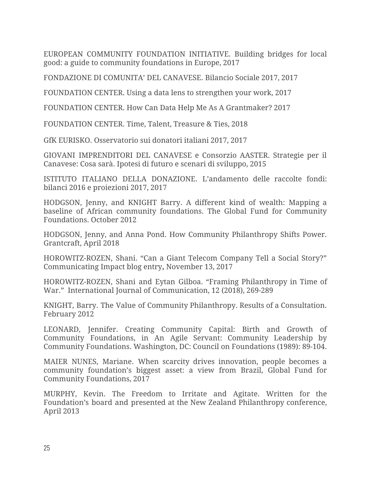EUROPEAN COMMUNITY FOUNDATION INITIATIVE. Building bridges for local good: a guide to community foundations in Europe, 2017

FONDAZIONE DI COMUNITA' DEL CANAVESE. Bilancio Sociale 2017, 2017

FOUNDATION CENTER. Using a data lens to strengthen your work, 2017

FOUNDATION CENTER. How Can Data Help Me As A Grantmaker? 2017

FOUNDATION CENTER. Time, Talent, Treasure & Ties, 2018

GfK EURISKO. Osservatorio sui donatori italiani 2017, 2017

GIOVANI IMPRENDITORI DEL CANAVESE e Consorzio AASTER. Strategie per il Canavese: Cosa sarà. Ipotesi di futuro e scenari di sviluppo, 2015

ISTITUTO ITALIANO DELLA DONAZIONE. L'andamento delle raccolte fondi: bilanci 2016 e proiezioni 2017, 2017

HODGSON, Jenny, and KNIGHT Barry. A different kind of wealth: [Mapping](https://cpcs.commons.gc.cuny.edu/files/2017/06/HodgsonKnight_A-Different-kind-of-Wealth_2012.pdf) a baseline of African community [foundations.](https://cpcs.commons.gc.cuny.edu/files/2017/06/HodgsonKnight_A-Different-kind-of-Wealth_2012.pdf) The Global Fund for Community Foundations. October 2012

HODGSON, Jenny, and Anna Pond. How Community [Philanthropy](https://cpcs.commons.gc.cuny.edu/wp-content/blogs.dir/3079/files/2018/04/Hodgson-Pond-Community-Philanthropy-Grantcraft-04_2018.pdf) Shifts Power. Grantcraft, April 2018

HOROWITZ-ROZEN, Shani. "Can a Giant Telecom [Company](https://www.communicatingimpact.com/single-post/Can-a-Giant-Telecom-Company-Tell-a-Social-Story) Tell a Social Story?" Communicating Impact blog entry**,** November 13, 2017

HOROWITZ-ROZEN, Shani and Eytan Gilboa. "Framing [Philanthropy](https://cpcs.commons.gc.cuny.edu/wp-content/blogs.dir/3079/files/2018/05/Shani-Framing-Philanthropy-in-Time-of-War.pdf) in Time of [War.](https://cpcs.commons.gc.cuny.edu/wp-content/blogs.dir/3079/files/2018/05/Shani-Framing-Philanthropy-in-Time-of-War.pdf)" International Journal of Communication, 12 (2018), 269-289

KNIGHT, Barry. The Value of Community [Philanthropy.](https://cpcs.commons.gc.cuny.edu/files/2017/06/Knight-The-Value-of-Community-Philanthropy-2012.pdf) Results of a Consultation. February 2012

LEONARD, Jennifer. Creating [Community](https://cpcs.commons.gc.cuny.edu/files/2017/06/Leonards-Creating-Community-Capital-ND.pdf) Capital: Birth and Growth of Community [Foundations,](https://cpcs.commons.gc.cuny.edu/files/2017/06/Leonards-Creating-Community-Capital-ND.pdf) in An Agile Servant: Community Leadership by Community Foundations. Washington, DC: Council on Foundations (1989): 89-104.

MAIER NUNES, Mariane. When scarcity drives [innovation,](https://cpcs.commons.gc.cuny.edu/wp-content/blogs.dir/3079/files/2017/03/When-scarcity-drives-innovation-people-becomes-a-CFs-biggest-asset_M-Maier-Nunes.pdf) people becomes a community [foundation's](https://cpcs.commons.gc.cuny.edu/wp-content/blogs.dir/3079/files/2017/03/When-scarcity-drives-innovation-people-becomes-a-CFs-biggest-asset_M-Maier-Nunes.pdf) biggest asset: a view from Brazil, Global Fund for Community Foundations, 2017

MURPHY, Kevin. The [Freedom](https://cpcs.commons.gc.cuny.edu/wp-content/blogs.dir/3079/files/2017/03/Murphy-Freedom-to-Agitate.pdf) to Irritate and Agitate. Written for the Foundation's board and presented at the New Zealand Philanthropy conference, April 2013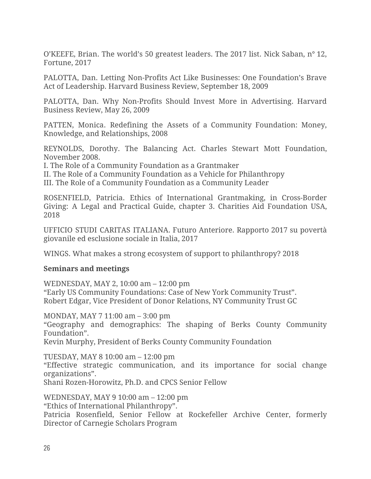O'KEEFE, Brian. The world's 50 greatest leaders. The 2017 list. Nick Saban, n° 12, Fortune, 2017

PALOTTA, Dan. Letting Non-Profits Act Like Businesses: One [Foundation's](https://cpcs.commons.gc.cuny.edu/wp-content/blogs.dir/3079/files/2017/03/Letting-Non-Profits-Act-Like-Businesses-One-Foundation%C2%B9s-Brave-Act-of-Leadership.pdf) Brave [Act of Leadership](https://cpcs.commons.gc.cuny.edu/wp-content/blogs.dir/3079/files/2017/03/Letting-Non-Profits-Act-Like-Businesses-One-Foundation%C2%B9s-Brave-Act-of-Leadership.pdf). Harvard Business Review, September 18, 2009

PALOTTA, Dan. Why Non-Profits Should Invest More in [Advertising.](https://cpcs.commons.gc.cuny.edu/wp-content/blogs.dir/3079/files/2017/03/Why-Nonprofits-Should-Invest-More-in-Advertising.pdf) Harvard Business Review, May 26, 2009

PATTEN, Monica. Redefining the Assets of a Community [Foundation:](https://cpcs.commons.gc.cuny.edu/files/2017/06/Patten-Redefining-the-Assets-of-a-CF-2008.pdf) Money, [Knowledge, and Relationships,](https://cpcs.commons.gc.cuny.edu/files/2017/06/Patten-Redefining-the-Assets-of-a-CF-2008.pdf) 2008

REYNOLDS, Dorothy. The Balancing Act. Charles Stewart Mott Foundation, November 2008.

[I. The Role of a Community Foundation as a Grantmaker](https://cpcs.commons.gc.cuny.edu/files/2017/06/Reynolds-The-Balancing-Act-Part-1-2008.pdf)

[II. The Role of a Community Foundation as a Vehicle for Philanthropy](https://cpcs.commons.gc.cuny.edu/files/2017/06/Reynolds-The-Balancing-Act-Part-2-2008.pdf)

[III. The Role of a Community Foundation as a Community Leader](https://cpcs.commons.gc.cuny.edu/files/2017/06/Reynolds-The-Balancing-Act-Part-3-2008.pdf)

ROSENFIELD, Patricia. Ethics of International [Grantmaking,](https://cpcs.commons.gc.cuny.edu/wp-content/blogs.dir/3079/files/2018/04/Ethics-of-International-Grantmaking_Rosenfield_CAF-USA_2018.pdf) in Cross-Border Giving: A Legal and Practical Guide, chapter 3. Charities Aid Foundation USA, 2018

UFFICIO STUDI CARITAS ITALIANA. Futuro Anteriore. Rapporto 2017 su povertà giovanile ed esclusione sociale in Italia, 2017

WINGS. What makes a strong ecosystem of support to philanthropy? 2018

#### **Seminars and meetings**

WEDNESDAY, MAY 2, 10:00 am – 12:00 pm "Early US Community Foundations: Case of New York Community Trust". Robert Edgar, Vice President of Donor Relations, NY Community Trust GC

MONDAY, MAY 7 11:00 am – 3:00 pm

"Geography and demographics: The shaping of Berks County Community Foundation".

Kevin Murphy, President of Berks County Community Foundation

TUESDAY, MAY 8 10:00 am – 12:00 pm "Effective strategic communication, and its importance for social change organizations". Shani Rozen-Horowitz, Ph.D. and CPCS Senior Fellow

WEDNESDAY, MAY 9 10:00 am – 12:00 pm "Ethics of International Philanthropy". Patricia Rosenfield, Senior Fellow at Rockefeller Archive Center, formerly Director of Carnegie Scholars Program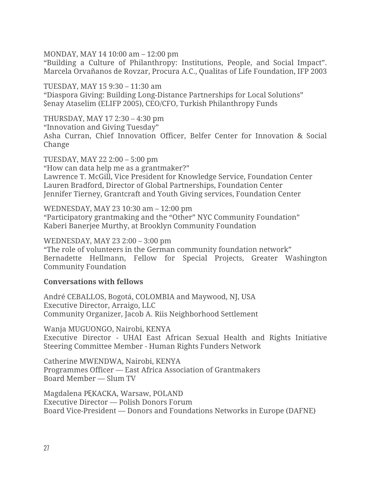MONDAY, MAY 14 10:00 am – 12:00 pm

"Building a Culture of Philanthropy: Institutions, People, and Social Impact". Marcela Orvañanos de Rovzar, Procura A.C., Qualitas of Life Foundation, IFP 2003

TUESDAY, MAY 15 9:30 – 11:30 am "Diaspora Giving: Building Long-Distance Partnerships for Local Solutions" Şenay Ataselim (ELIFP 2005), CEO/CFO, Turkish Philanthropy Funds

THURSDAY, MAY 17 2:30 – 4:30 pm "Innovation and Giving Tuesday" Asha Curran, Chief Innovation Officer, Belfer Center for Innovation & Social Change

TUESDAY, MAY 22 2:00 – 5:00 pm "How can data help me as a grantmaker?" Lawrence T. McGill, Vice President for Knowledge Service, Foundation Center Lauren Bradford, Director of Global Partnerships, Foundation Center Jennifer Tierney, Grantcraft and Youth Giving services, Foundation Center

WEDNESDAY, MAY 23 10:30 am – 12:00 pm "Participatory grantmaking and the "Other" NYC Community Foundation" Kaberi Banerjee Murthy, at Brooklyn Community Foundation

WEDNESDAY, MAY 23 2:00 – 3:00 pm "The role of volunteers in the German community foundation network" Bernadette Hellmann, Fellow for Special Projects, Greater Washington Community Foundation

#### **Conversations with fellows**

André CEBALLOS, Bogotá, COLOMBIA and Maywood, NJ, USA Executive Director, Arraigo, LLC Community Organizer, Jacob A. Riis Neighborhood Settlement

Wanja MUGUONGO, Nairobi, KENYA Executive Director - UHAI East African Sexual Health and Rights Initiative Steering Committee Member - Human Rights Funders Network

Catherine MWENDWA, Nairobi, KENYA Programmes Officer — East Africa Association of Grantmakers Board Member — Slum TV

Magdalena PĘKACKA, Warsaw, POLAND Executive Director — Polish Donors Forum Board Vice-President — Donors and Foundations Networks in Europe (DAFNE)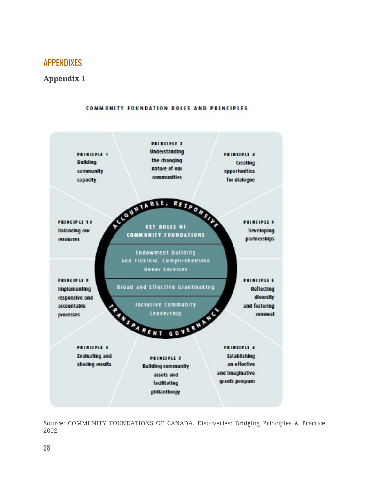# APPENDIXES

#### **Appendix 1**



#### Source: COMMUNITY FOUNDATIONS OF CANADA. [Discoveries:](http://www.issuelab.org/resources/13717/13717.pdf) Bridging Principles & Practice, [2002](http://www.issuelab.org/resources/13717/13717.pdf)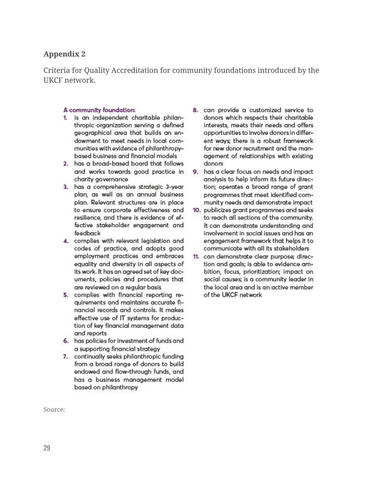#### **Appendix 2**

Criteria for Quality Accreditation for community foundations introduced by the UKCF network.

#### A community foundation:

- 1. is an independent charitable philanthropic organization serving a defined geographical area that builds an endowment to meet needs in local communities with evidence of philanthropybased business and financial models
- 2. has a broad-based board that follows and works towards good practice in charity governance
- 3. has a comprehensive strategic 3-year plan, as well as an annual business plan. Relevant structures are in place to ensure corporate effectiveness and resilience, and there is evidence of effective stakeholder engagement and feedback
- 4. complies with relevant legislation and codes of practice, and adopts good employment practices and embraces equality and diversity in all aspects of its work. It has an agreed set of key documents, policies and procedures that are reviewed on a regular basis
- 5. complies with financial reporting reauirements and maintains accurate financial records and controls. It makes effective use of IT systems for production of key financial management data and reports
- 6. has policies for investment of funds and a supporting financial strategy
- 7. continually seeks philanthropic funding from a broad range of donors to build endowed and flow-through funds, and has a business management model based on philanthropy
- 8. can provide a customized service to donors which respects their charitable interests, meets their needs and offers opportunities to involve donors in different ways; there is a robust framework for new donor recruitment and the management of relationships with existing donors
- 9. has a clear focus on needs and impact analysis to help inform its future direction; operates a broad range of grant programmes that meet identified community needs and demonstrate impact
- 10. publicizes grant programmes and seeks to reach all sections of the community. It can demonstrate understanding and involvement in social issues and has an enaggement framework that helps it to communicate with all its stakeholders
- 11. can demonstrate clear purpose; direction and goals; is able to evidence ambition, focus, prioritization; impact on social causes; is a community leader in the local area and is an active member of the UKCF network

Source: